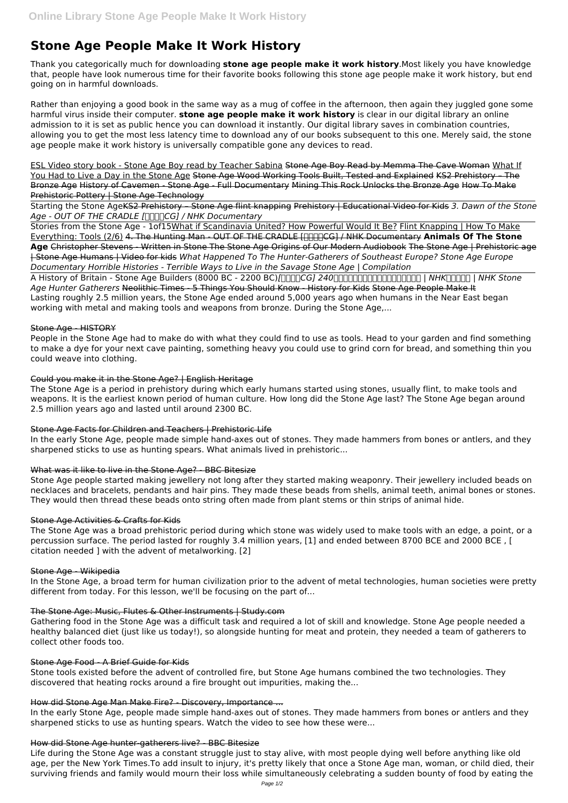# **Stone Age People Make It Work History**

Thank you categorically much for downloading **stone age people make it work history**.Most likely you have knowledge that, people have look numerous time for their favorite books following this stone age people make it work history, but end going on in harmful downloads.

Rather than enjoying a good book in the same way as a mug of coffee in the afternoon, then again they juggled gone some harmful virus inside their computer. **stone age people make it work history** is clear in our digital library an online admission to it is set as public hence you can download it instantly. Our digital library saves in combination countries, allowing you to get the most less latency time to download any of our books subsequent to this one. Merely said, the stone age people make it work history is universally compatible gone any devices to read.

Starting the Stone AgeKS2 Prehistory – Stone Age flint knapping Prehistory | Educational Video for Kids *3. Dawn of the Stone* Age - OUT OF THE CRADLE *[* $\Box$  $\Box$  $\Box$ CG] / NHK Documentary

ESL Video story book - Stone Age Boy read by Teacher Sabina Stone Age Boy Read by Memma The Cave Woman What If You Had to Live a Day in the Stone Age Stone Age Wood Working Tools Built, Tested and Explained KS2 Prehistory – The Bronze Age History of Cavemen - Stone Age - Full Documentary Mining This Rock Unlocks the Bronze Age How To Make Prehistoric Pottery | Stone Age Technology

Stories from the Stone Age - 1of15What if Scandinavia United? How Powerful Would It Be? Flint Knapping | How To Make Everything: Tools (2/6) 4. The Hunting Man - OUT OF THE CRADLE [**[**][][][CG] / NHK Documentary Animals Of The Stone **Age** Christopher Stevens - Written in Stone The Stone Age Origins of Our Modern Audiobook The Stone Age | Prehistoric age | Stone Age Humans | Video for kids *What Happened To The Hunter-Gatherers of Southeast Europe? Stone Age Europe Documentary Horrible Histories - Terrible Ways to Live in the Savage Stone Age | Compilation*

A History of Britain - Stone Age Builders (8000 BC - 2200 BC)*[人類誕生CG] 240万年前の人類のライバルはハイエナ!? | NHKスペシャル | NHK Stone Age Hunter Gatherers* Neolithic Times - 5 Things You Should Know - History for Kids Stone Age People Make It Lasting roughly 2.5 million years, the Stone Age ended around 5,000 years ago when humans in the Near East began working with metal and making tools and weapons from bronze. During the Stone Age,...

## Stone Age - HISTORY

People in the Stone Age had to make do with what they could find to use as tools. Head to your garden and find something to make a dye for your next cave painting, something heavy you could use to grind corn for bread, and something thin you could weave into clothing.

## Could you make it in the Stone Age? | English Heritage

The Stone Age is a period in prehistory during which early humans started using stones, usually flint, to make tools and weapons. It is the earliest known period of human culture. How long did the Stone Age last? The Stone Age began around 2.5 million years ago and lasted until around 2300 BC.

## Stone Age Facts for Children and Teachers | Prehistoric Life

In the early Stone Age, people made simple hand-axes out of stones. They made hammers from bones or antlers, and they sharpened sticks to use as hunting spears. What animals lived in prehistoric...

## What was it like to live in the Stone Age? - BBC Bitesize

Stone Age people started making jewellery not long after they started making weaponry. Their jewellery included beads on necklaces and bracelets, pendants and hair pins. They made these beads from shells, animal teeth, animal bones or stones. They would then thread these beads onto string often made from plant stems or thin strips of animal hide.

## Stone Age Activities & Crafts for Kids

The Stone Age was a broad prehistoric period during which stone was widely used to make tools with an edge, a point, or a percussion surface. The period lasted for roughly 3.4 million years, [1] and ended between 8700 BCE and 2000 BCE , [ citation needed ] with the advent of metalworking. [2]

## Stone Age - Wikipedia

In the Stone Age, a broad term for human civilization prior to the advent of metal technologies, human societies were pretty different from today. For this lesson, we'll be focusing on the part of...

### The Stone Age: Music, Flutes & Other Instruments | Study.com

Gathering food in the Stone Age was a difficult task and required a lot of skill and knowledge. Stone Age people needed a healthy balanced diet (just like us today!), so alongside hunting for meat and protein, they needed a team of gatherers to collect other foods too.

#### Stone Age Food - A Brief Guide for Kids

Stone tools existed before the advent of controlled fire, but Stone Age humans combined the two technologies. They discovered that heating rocks around a fire brought out impurities, making the...

#### How did Stone Age Man Make Fire? - Discovery, Importance ...

In the early Stone Age, people made simple hand-axes out of stones. They made hammers from bones or antlers and they sharpened sticks to use as hunting spears. Watch the video to see how these were...

#### How did Stone Age hunter-gatherers live? - BBC Bitesize

Life during the Stone Age was a constant struggle just to stay alive, with most people dying well before anything like old age, per the New York Times.To add insult to injury, it's pretty likely that once a Stone Age man, woman, or child died, their surviving friends and family would mourn their loss while simultaneously celebrating a sudden bounty of food by eating the